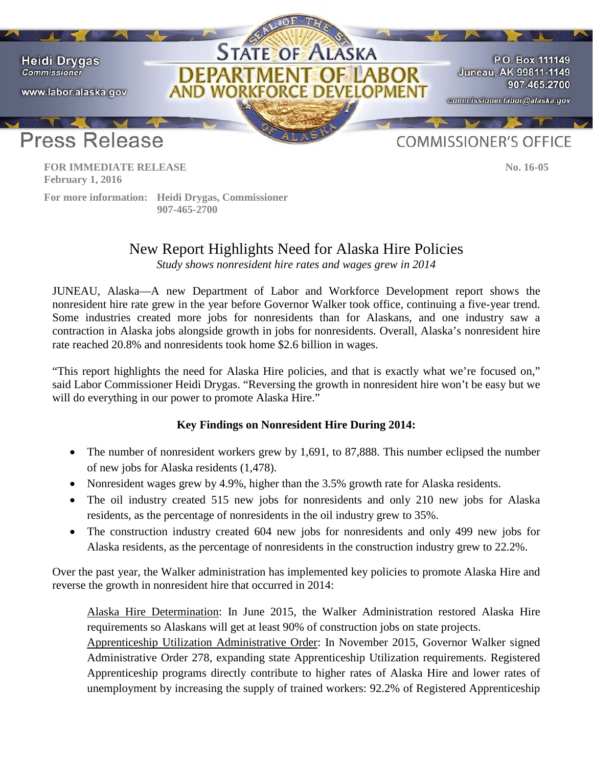

 **February 1, 2016**

 **For more information: Heidi Drygas, Commissioner 907-465-2700**

## New Report Highlights Need for Alaska Hire Policies

*Study shows nonresident hire rates and wages grew in 2014*

JUNEAU, Alaska—A new Department of Labor and Workforce Development report shows the nonresident hire rate grew in the year before Governor Walker took office, continuing a five-year trend. Some industries created more jobs for nonresidents than for Alaskans, and one industry saw a contraction in Alaska jobs alongside growth in jobs for nonresidents. Overall, Alaska's nonresident hire rate reached 20.8% and nonresidents took home \$2.6 billion in wages.

"This report highlights the need for Alaska Hire policies, and that is exactly what we're focused on," said Labor Commissioner Heidi Drygas. "Reversing the growth in nonresident hire won't be easy but we will do everything in our power to promote Alaska Hire."

## **Key Findings on Nonresident Hire During 2014:**

- The number of nonresident workers grew by 1,691, to 87,888. This number eclipsed the number of new jobs for Alaska residents (1,478).
- Nonresident wages grew by 4.9%, higher than the 3.5% growth rate for Alaska residents.
- The oil industry created 515 new jobs for nonresidents and only 210 new jobs for Alaska residents, as the percentage of nonresidents in the oil industry grew to 35%.
- The construction industry created 604 new jobs for nonresidents and only 499 new jobs for Alaska residents, as the percentage of nonresidents in the construction industry grew to 22.2%.

Over the past year, the Walker administration has implemented key policies to promote Alaska Hire and reverse the growth in nonresident hire that occurred in 2014:

Alaska Hire Determination: In June 2015, the Walker Administration restored Alaska Hire requirements so Alaskans will get at least 90% of construction jobs on state projects. Apprenticeship Utilization Administrative Order: In November 2015, Governor Walker signed Administrative Order 278, expanding state Apprenticeship Utilization requirements. Registered Apprenticeship programs directly contribute to higher rates of Alaska Hire and lower rates of unemployment by increasing the supply of trained workers: 92.2% of Registered Apprenticeship